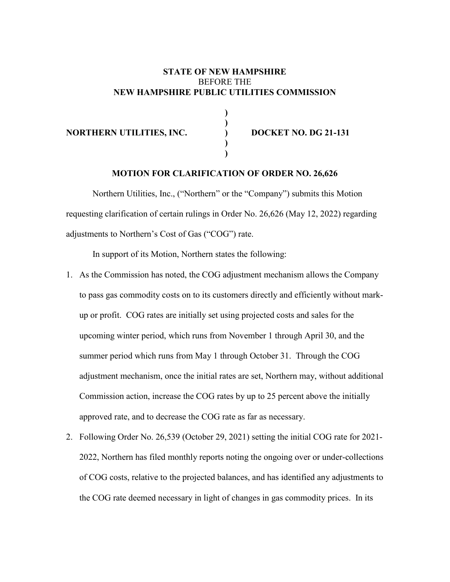### **STATE OF NEW HAMPSHIRE** BEFORE THE **NEW HAMPSHIRE PUBLIC UTILITIES COMMISSION**

**)**

**)**

**) )**

#### **NORTHERN UTILITIES, INC. ) DOCKET NO. DG** 21-131

### **MOTION FOR CLARIFICATION OF ORDER NO. 26,626**

Northern Utilities, Inc., ("Northern" or the "Company") submits this Motion requesting clarification of certain rulings in Order No. 26,626 (May 12, 2022) regarding adjustments to Northern's Cost of Gas ("COG") rate.

In support of its Motion, Northern states the following:

- 1. As the Commission has noted, the COG adjustment mechanism allows the Company to pass gas commodity costs on to its customers directly and efficiently without markup or profit. COG rates are initially set using projected costs and sales for the upcoming winter period, which runs from November 1 through April 30, and the summer period which runs from May 1 through October 31. Through the COG adjustment mechanism, once the initial rates are set, Northern may, without additional Commission action, increase the COG rates by up to 25 percent above the initially approved rate, and to decrease the COG rate as far as necessary.
- 2. Following Order No. 26,539 (October 29, 2021) setting the initial COG rate for 2021- 2022, Northern has filed monthly reports noting the ongoing over or under-collections of COG costs, relative to the projected balances, and has identified any adjustments to the COG rate deemed necessary in light of changes in gas commodity prices. In its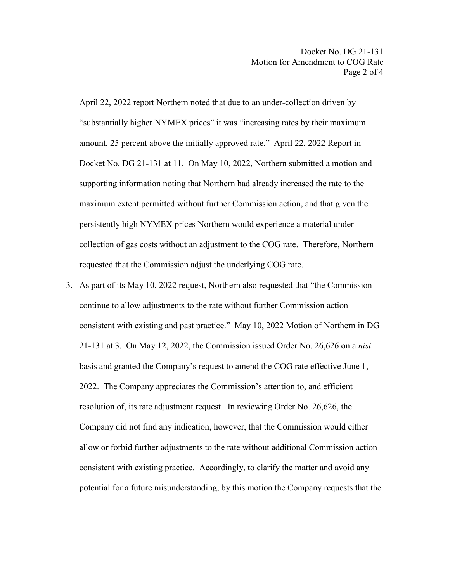April 22, 2022 report Northern noted that due to an under-collection driven by "substantially higher NYMEX prices" it was "increasing rates by their maximum amount, 25 percent above the initially approved rate." April 22, 2022 Report in Docket No. DG 21-131 at 11. On May 10, 2022, Northern submitted a motion and supporting information noting that Northern had already increased the rate to the maximum extent permitted without further Commission action, and that given the persistently high NYMEX prices Northern would experience a material undercollection of gas costs without an adjustment to the COG rate. Therefore, Northern requested that the Commission adjust the underlying COG rate.

3. As part of its May 10, 2022 request, Northern also requested that "the Commission continue to allow adjustments to the rate without further Commission action consistent with existing and past practice." May 10, 2022 Motion of Northern in DG 21-131 at 3. On May 12, 2022, the Commission issued Order No. 26,626 on a *nisi* basis and granted the Company's request to amend the COG rate effective June 1, 2022. The Company appreciates the Commission's attention to, and efficient resolution of, its rate adjustment request. In reviewing Order No. 26,626, the Company did not find any indication, however, that the Commission would either allow or forbid further adjustments to the rate without additional Commission action consistent with existing practice. Accordingly, to clarify the matter and avoid any potential for a future misunderstanding, by this motion the Company requests that the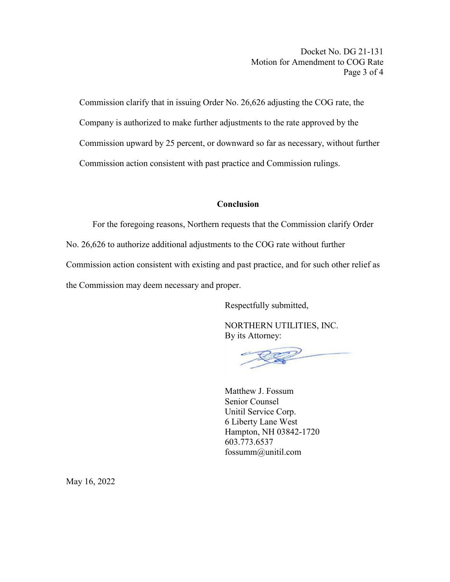Commission clarify that in issuing Order No. 26,626 adjusting the COG rate, the Company is authorized to make further adjustments to the rate approved by the Commission upward by 25 percent, or downward so far as necessary, without further Commission action consistent with past practice and Commission rulings.

## **Conclusion**

For the foregoing reasons, Northern requests that the Commission clarify Order No. 26,626 to authorize additional adjustments to the COG rate without further Commission action consistent with existing and past practice, and for such other relief as the Commission may deem necessary and proper.

Respectfully submitted,

NORTHERN UTILITIES, INC. By its Attorney:

Matthew J. Fossum Senior Counsel Unitil Service Corp. 6 Liberty Lane West Hampton, NH 03842-1720 603.773.6537 fossumm@unitil.com

May 16, 2022